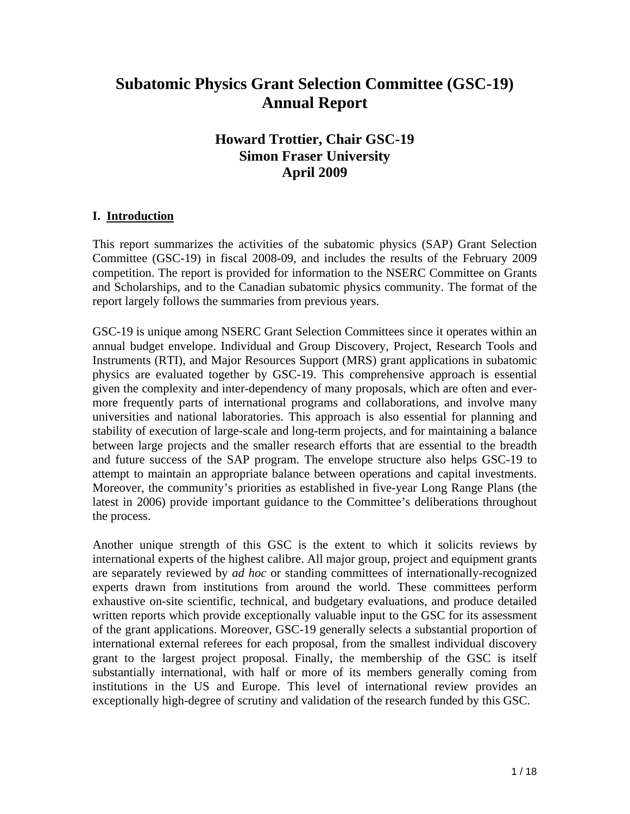# **Subatomic Physics Grant Selection Committee (GSC-19) Annual Report**

## **Howard Trottier, Chair GSC-19 Simon Fraser University April 2009**

#### **I. Introduction**

This report summarizes the activities of the subatomic physics (SAP) Grant Selection Committee (GSC-19) in fiscal 2008-09, and includes the results of the February 2009 competition. The report is provided for information to the NSERC Committee on Grants and Scholarships, and to the Canadian subatomic physics community. The format of the report largely follows the summaries from previous years.

GSC-19 is unique among NSERC Grant Selection Committees since it operates within an annual budget envelope. Individual and Group Discovery, Project, Research Tools and Instruments (RTI), and Major Resources Support (MRS) grant applications in subatomic physics are evaluated together by GSC-19. This comprehensive approach is essential given the complexity and inter-dependency of many proposals, which are often and evermore frequently parts of international programs and collaborations, and involve many universities and national laboratories. This approach is also essential for planning and stability of execution of large-scale and long-term projects, and for maintaining a balance between large projects and the smaller research efforts that are essential to the breadth and future success of the SAP program. The envelope structure also helps GSC-19 to attempt to maintain an appropriate balance between operations and capital investments. Moreover, the community's priorities as established in five-year Long Range Plans (the latest in 2006) provide important guidance to the Committee's deliberations throughout the process.

Another unique strength of this GSC is the extent to which it solicits reviews by international experts of the highest calibre. All major group, project and equipment grants are separately reviewed by *ad hoc* or standing committees of internationally-recognized experts drawn from institutions from around the world. These committees perform exhaustive on-site scientific, technical, and budgetary evaluations, and produce detailed written reports which provide exceptionally valuable input to the GSC for its assessment of the grant applications. Moreover, GSC-19 generally selects a substantial proportion of international external referees for each proposal, from the smallest individual discovery grant to the largest project proposal. Finally, the membership of the GSC is itself substantially international, with half or more of its members generally coming from institutions in the US and Europe. This level of international review provides an exceptionally high-degree of scrutiny and validation of the research funded by this GSC.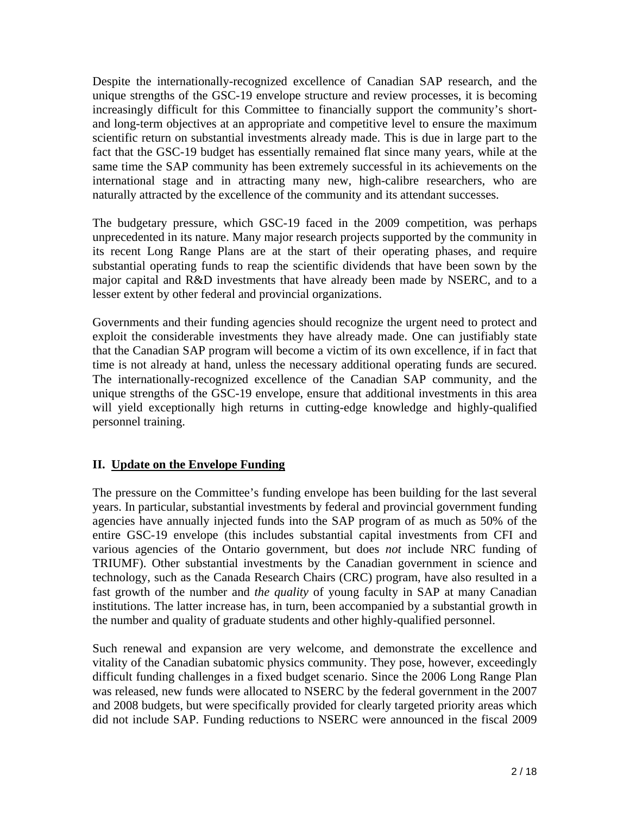Despite the internationally-recognized excellence of Canadian SAP research, and the unique strengths of the GSC-19 envelope structure and review processes, it is becoming increasingly difficult for this Committee to financially support the community's shortand long-term objectives at an appropriate and competitive level to ensure the maximum scientific return on substantial investments already made. This is due in large part to the fact that the GSC-19 budget has essentially remained flat since many years, while at the same time the SAP community has been extremely successful in its achievements on the international stage and in attracting many new, high-calibre researchers, who are naturally attracted by the excellence of the community and its attendant successes.

The budgetary pressure, which GSC-19 faced in the 2009 competition, was perhaps unprecedented in its nature. Many major research projects supported by the community in its recent Long Range Plans are at the start of their operating phases, and require substantial operating funds to reap the scientific dividends that have been sown by the major capital and R&D investments that have already been made by NSERC, and to a lesser extent by other federal and provincial organizations.

Governments and their funding agencies should recognize the urgent need to protect and exploit the considerable investments they have already made. One can justifiably state that the Canadian SAP program will become a victim of its own excellence, if in fact that time is not already at hand, unless the necessary additional operating funds are secured. The internationally-recognized excellence of the Canadian SAP community, and the unique strengths of the GSC-19 envelope, ensure that additional investments in this area will yield exceptionally high returns in cutting-edge knowledge and highly-qualified personnel training.

## **II. Update on the Envelope Funding**

The pressure on the Committee's funding envelope has been building for the last several years. In particular, substantial investments by federal and provincial government funding agencies have annually injected funds into the SAP program of as much as 50% of the entire GSC-19 envelope (this includes substantial capital investments from CFI and various agencies of the Ontario government, but does *not* include NRC funding of TRIUMF). Other substantial investments by the Canadian government in science and technology, such as the Canada Research Chairs (CRC) program, have also resulted in a fast growth of the number and *the quality* of young faculty in SAP at many Canadian institutions. The latter increase has, in turn, been accompanied by a substantial growth in the number and quality of graduate students and other highly-qualified personnel.

Such renewal and expansion are very welcome, and demonstrate the excellence and vitality of the Canadian subatomic physics community. They pose, however, exceedingly difficult funding challenges in a fixed budget scenario. Since the 2006 Long Range Plan was released, new funds were allocated to NSERC by the federal government in the 2007 and 2008 budgets, but were specifically provided for clearly targeted priority areas which did not include SAP. Funding reductions to NSERC were announced in the fiscal 2009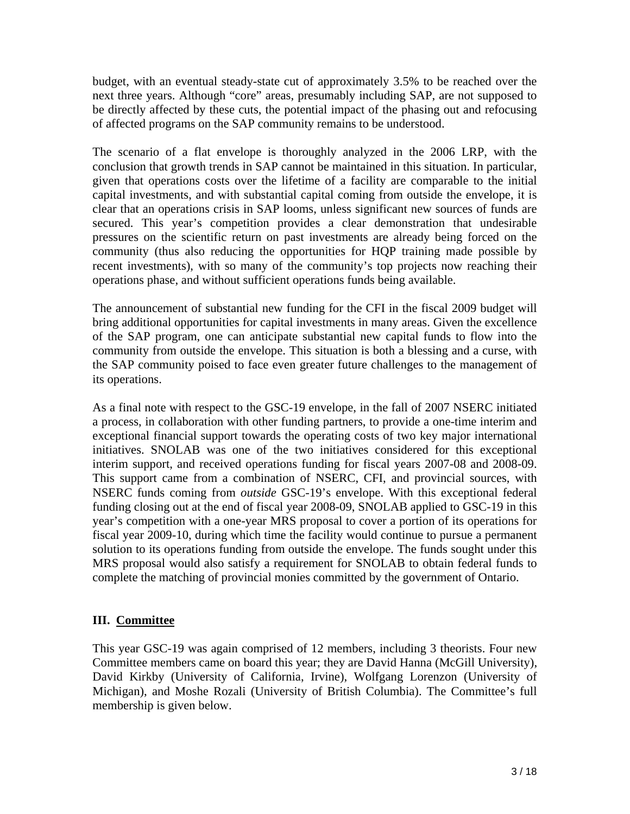budget, with an eventual steady-state cut of approximately 3.5% to be reached over the next three years. Although "core" areas, presumably including SAP, are not supposed to be directly affected by these cuts, the potential impact of the phasing out and refocusing of affected programs on the SAP community remains to be understood.

The scenario of a flat envelope is thoroughly analyzed in the 2006 LRP, with the conclusion that growth trends in SAP cannot be maintained in this situation. In particular, given that operations costs over the lifetime of a facility are comparable to the initial capital investments, and with substantial capital coming from outside the envelope, it is clear that an operations crisis in SAP looms, unless significant new sources of funds are secured. This year's competition provides a clear demonstration that undesirable pressures on the scientific return on past investments are already being forced on the community (thus also reducing the opportunities for HQP training made possible by recent investments), with so many of the community's top projects now reaching their operations phase, and without sufficient operations funds being available.

The announcement of substantial new funding for the CFI in the fiscal 2009 budget will bring additional opportunities for capital investments in many areas. Given the excellence of the SAP program, one can anticipate substantial new capital funds to flow into the community from outside the envelope. This situation is both a blessing and a curse, with the SAP community poised to face even greater future challenges to the management of its operations.

As a final note with respect to the GSC-19 envelope, in the fall of 2007 NSERC initiated a process, in collaboration with other funding partners, to provide a one-time interim and exceptional financial support towards the operating costs of two key major international initiatives. SNOLAB was one of the two initiatives considered for this exceptional interim support, and received operations funding for fiscal years 2007-08 and 2008-09. This support came from a combination of NSERC, CFI, and provincial sources, with NSERC funds coming from *outside* GSC-19's envelope. With this exceptional federal funding closing out at the end of fiscal year 2008-09, SNOLAB applied to GSC-19 in this year's competition with a one-year MRS proposal to cover a portion of its operations for fiscal year 2009-10, during which time the facility would continue to pursue a permanent solution to its operations funding from outside the envelope. The funds sought under this MRS proposal would also satisfy a requirement for SNOLAB to obtain federal funds to complete the matching of provincial monies committed by the government of Ontario.

## **III. Committee**

This year GSC-19 was again comprised of 12 members, including 3 theorists. Four new Committee members came on board this year; they are David Hanna (McGill University), David Kirkby (University of California, Irvine), Wolfgang Lorenzon (University of Michigan), and Moshe Rozali (University of British Columbia). The Committee's full membership is given below.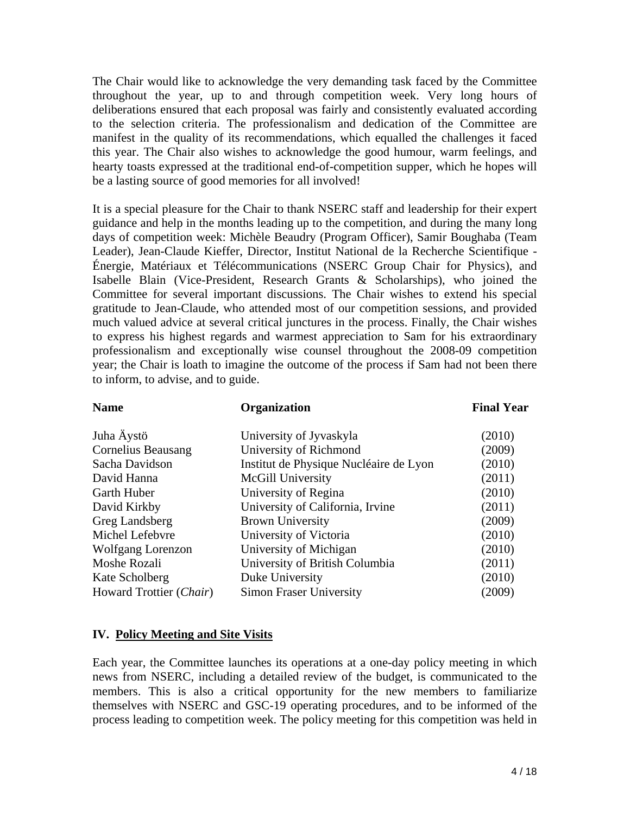The Chair would like to acknowledge the very demanding task faced by the Committee throughout the year, up to and through competition week. Very long hours of deliberations ensured that each proposal was fairly and consistently evaluated according to the selection criteria. The professionalism and dedication of the Committee are manifest in the quality of its recommendations, which equalled the challenges it faced this year. The Chair also wishes to acknowledge the good humour, warm feelings, and hearty toasts expressed at the traditional end-of-competition supper, which he hopes will be a lasting source of good memories for all involved!

It is a special pleasure for the Chair to thank NSERC staff and leadership for their expert guidance and help in the months leading up to the competition, and during the many long days of competition week: Michèle Beaudry (Program Officer), Samir Boughaba (Team Leader), Jean-Claude Kieffer, Director, Institut National de la Recherche Scientifique - Énergie, Matériaux et Télécommunications (NSERC Group Chair for Physics), and Isabelle Blain (Vice-President, Research Grants & Scholarships), who joined the Committee for several important discussions. The Chair wishes to extend his special gratitude to Jean-Claude, who attended most of our competition sessions, and provided much valued advice at several critical junctures in the process. Finally, the Chair wishes to express his highest regards and warmest appreciation to Sam for his extraordinary professionalism and exceptionally wise counsel throughout the 2008-09 competition year; the Chair is loath to imagine the outcome of the process if Sam had not been there to inform, to advise, and to guide.

| <b>Name</b>               | Organization                           | <b>Final Year</b> |
|---------------------------|----------------------------------------|-------------------|
| Juha Äystö                | University of Jyvaskyla                | (2010)            |
| <b>Cornelius Beausang</b> | University of Richmond                 | (2009)            |
| Sacha Davidson            | Institut de Physique Nucléaire de Lyon | (2010)            |
| David Hanna               | <b>McGill University</b>               | (2011)            |
| Garth Huber               | University of Regina                   | (2010)            |
| David Kirkby              | University of California, Irvine       | (2011)            |
| Greg Landsberg            | <b>Brown University</b>                | (2009)            |
| Michel Lefebvre           | University of Victoria                 | (2010)            |
| Wolfgang Lorenzon         | University of Michigan                 | (2010)            |
| Moshe Rozali              | University of British Columbia         | (2011)            |
| Kate Scholberg            | Duke University                        | (2010)            |
| Howard Trottier (Chair)   | <b>Simon Fraser University</b>         | (2009)            |

#### **IV. Policy Meeting and Site Visits**

Each year, the Committee launches its operations at a one-day policy meeting in which news from NSERC, including a detailed review of the budget, is communicated to the members. This is also a critical opportunity for the new members to familiarize themselves with NSERC and GSC-19 operating procedures, and to be informed of the process leading to competition week. The policy meeting for this competition was held in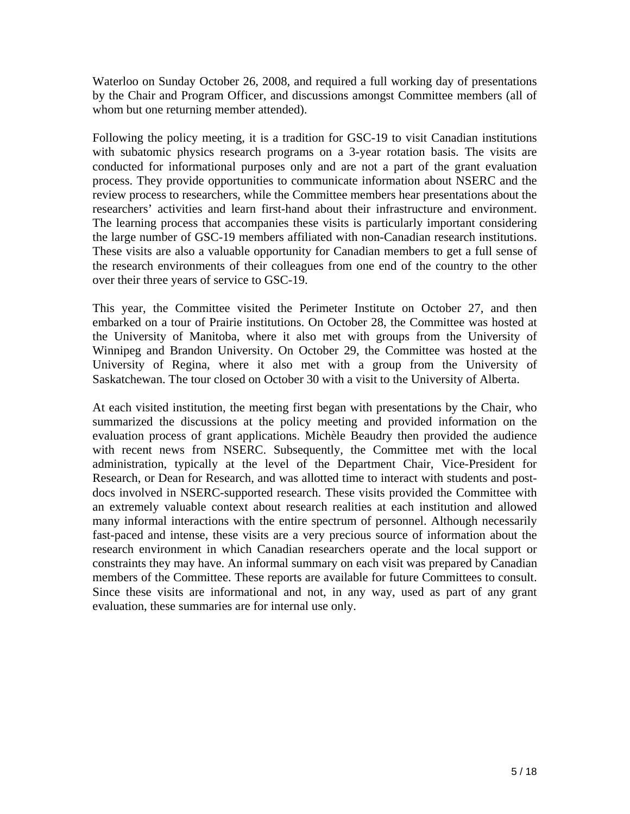Waterloo on Sunday October 26, 2008, and required a full working day of presentations by the Chair and Program Officer, and discussions amongst Committee members (all of whom but one returning member attended).

Following the policy meeting, it is a tradition for GSC-19 to visit Canadian institutions with subatomic physics research programs on a 3-year rotation basis. The visits are conducted for informational purposes only and are not a part of the grant evaluation process. They provide opportunities to communicate information about NSERC and the review process to researchers, while the Committee members hear presentations about the researchers' activities and learn first-hand about their infrastructure and environment. The learning process that accompanies these visits is particularly important considering the large number of GSC-19 members affiliated with non-Canadian research institutions. These visits are also a valuable opportunity for Canadian members to get a full sense of the research environments of their colleagues from one end of the country to the other over their three years of service to GSC-19.

This year, the Committee visited the Perimeter Institute on October 27, and then embarked on a tour of Prairie institutions. On October 28, the Committee was hosted at the University of Manitoba, where it also met with groups from the University of Winnipeg and Brandon University. On October 29, the Committee was hosted at the University of Regina, where it also met with a group from the University of Saskatchewan. The tour closed on October 30 with a visit to the University of Alberta.

At each visited institution, the meeting first began with presentations by the Chair, who summarized the discussions at the policy meeting and provided information on the evaluation process of grant applications. Michèle Beaudry then provided the audience with recent news from NSERC. Subsequently, the Committee met with the local administration, typically at the level of the Department Chair, Vice-President for Research, or Dean for Research, and was allotted time to interact with students and postdocs involved in NSERC-supported research. These visits provided the Committee with an extremely valuable context about research realities at each institution and allowed many informal interactions with the entire spectrum of personnel. Although necessarily fast-paced and intense, these visits are a very precious source of information about the research environment in which Canadian researchers operate and the local support or constraints they may have. An informal summary on each visit was prepared by Canadian members of the Committee. These reports are available for future Committees to consult. Since these visits are informational and not, in any way, used as part of any grant evaluation, these summaries are for internal use only.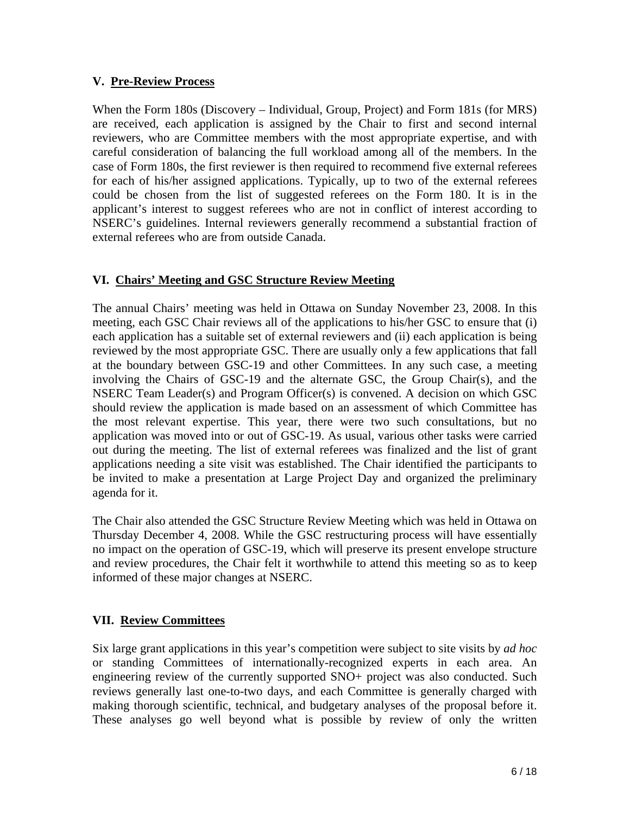## **V. Pre-Review Process**

When the Form 180s (Discovery – Individual, Group, Project) and Form 181s (for MRS) are received, each application is assigned by the Chair to first and second internal reviewers, who are Committee members with the most appropriate expertise, and with careful consideration of balancing the full workload among all of the members. In the case of Form 180s, the first reviewer is then required to recommend five external referees for each of his/her assigned applications. Typically, up to two of the external referees could be chosen from the list of suggested referees on the Form 180. It is in the applicant's interest to suggest referees who are not in conflict of interest according to NSERC's guidelines. Internal reviewers generally recommend a substantial fraction of external referees who are from outside Canada.

## **VI. Chairs' Meeting and GSC Structure Review Meeting**

The annual Chairs' meeting was held in Ottawa on Sunday November 23, 2008. In this meeting, each GSC Chair reviews all of the applications to his/her GSC to ensure that (i) each application has a suitable set of external reviewers and (ii) each application is being reviewed by the most appropriate GSC. There are usually only a few applications that fall at the boundary between GSC-19 and other Committees. In any such case, a meeting involving the Chairs of GSC-19 and the alternate GSC, the Group Chair(s), and the NSERC Team Leader(s) and Program Officer(s) is convened. A decision on which GSC should review the application is made based on an assessment of which Committee has the most relevant expertise. This year, there were two such consultations, but no application was moved into or out of GSC-19. As usual, various other tasks were carried out during the meeting. The list of external referees was finalized and the list of grant applications needing a site visit was established. The Chair identified the participants to be invited to make a presentation at Large Project Day and organized the preliminary agenda for it.

The Chair also attended the GSC Structure Review Meeting which was held in Ottawa on Thursday December 4, 2008. While the GSC restructuring process will have essentially no impact on the operation of GSC-19, which will preserve its present envelope structure and review procedures, the Chair felt it worthwhile to attend this meeting so as to keep informed of these major changes at NSERC.

## **VII. Review Committees**

Six large grant applications in this year's competition were subject to site visits by *ad hoc* or standing Committees of internationally-recognized experts in each area. An engineering review of the currently supported SNO+ project was also conducted. Such reviews generally last one-to-two days, and each Committee is generally charged with making thorough scientific, technical, and budgetary analyses of the proposal before it. These analyses go well beyond what is possible by review of only the written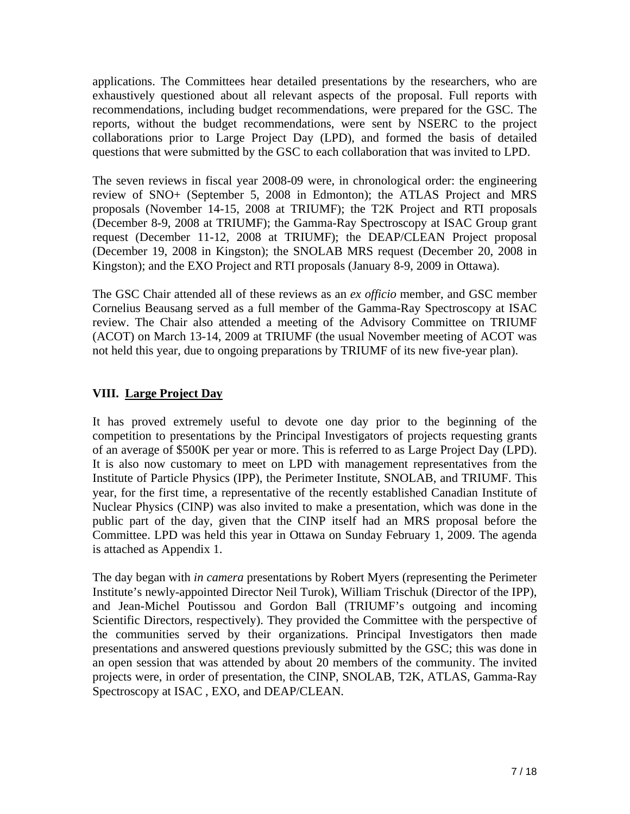applications. The Committees hear detailed presentations by the researchers, who are exhaustively questioned about all relevant aspects of the proposal. Full reports with recommendations, including budget recommendations, were prepared for the GSC. The reports, without the budget recommendations, were sent by NSERC to the project collaborations prior to Large Project Day (LPD), and formed the basis of detailed questions that were submitted by the GSC to each collaboration that was invited to LPD.

The seven reviews in fiscal year 2008-09 were, in chronological order: the engineering review of SNO+ (September 5, 2008 in Edmonton); the ATLAS Project and MRS proposals (November 14-15, 2008 at TRIUMF); the T2K Project and RTI proposals (December 8-9, 2008 at TRIUMF); the Gamma-Ray Spectroscopy at ISAC Group grant request (December 11-12, 2008 at TRIUMF); the DEAP/CLEAN Project proposal (December 19, 2008 in Kingston); the SNOLAB MRS request (December 20, 2008 in Kingston); and the EXO Project and RTI proposals (January 8-9, 2009 in Ottawa).

The GSC Chair attended all of these reviews as an *ex officio* member, and GSC member Cornelius Beausang served as a full member of the Gamma-Ray Spectroscopy at ISAC review. The Chair also attended a meeting of the Advisory Committee on TRIUMF (ACOT) on March 13-14, 2009 at TRIUMF (the usual November meeting of ACOT was not held this year, due to ongoing preparations by TRIUMF of its new five-year plan).

## **VIII. Large Project Day**

It has proved extremely useful to devote one day prior to the beginning of the competition to presentations by the Principal Investigators of projects requesting grants of an average of \$500K per year or more. This is referred to as Large Project Day (LPD). It is also now customary to meet on LPD with management representatives from the Institute of Particle Physics (IPP), the Perimeter Institute, SNOLAB, and TRIUMF. This year, for the first time, a representative of the recently established Canadian Institute of Nuclear Physics (CINP) was also invited to make a presentation, which was done in the public part of the day, given that the CINP itself had an MRS proposal before the Committee. LPD was held this year in Ottawa on Sunday February 1, 2009. The agenda is attached as Appendix 1.

The day began with *in camera* presentations by Robert Myers (representing the Perimeter Institute's newly-appointed Director Neil Turok), William Trischuk (Director of the IPP), and Jean-Michel Poutissou and Gordon Ball (TRIUMF's outgoing and incoming Scientific Directors, respectively). They provided the Committee with the perspective of the communities served by their organizations. Principal Investigators then made presentations and answered questions previously submitted by the GSC; this was done in an open session that was attended by about 20 members of the community. The invited projects were, in order of presentation, the CINP, SNOLAB, T2K, ATLAS, Gamma-Ray Spectroscopy at ISAC , EXO, and DEAP/CLEAN.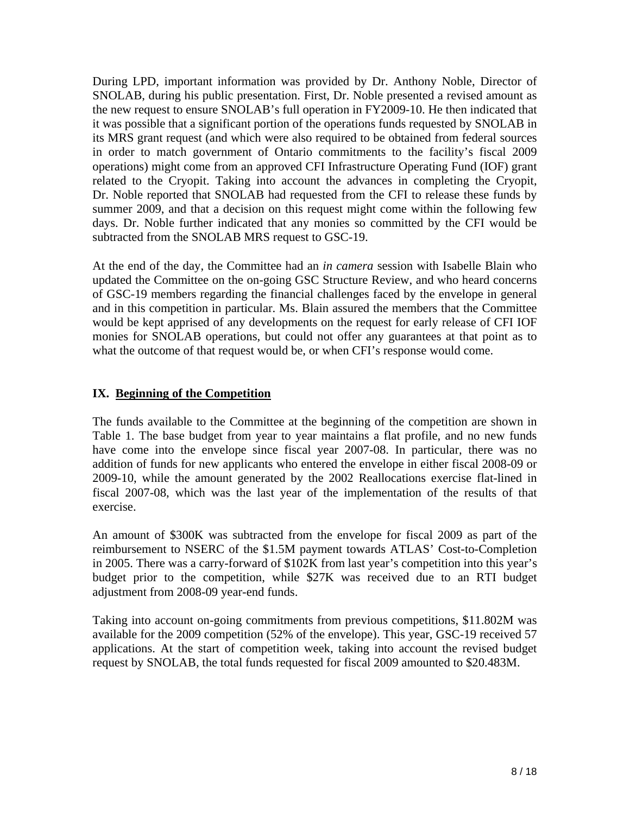During LPD, important information was provided by Dr. Anthony Noble, Director of SNOLAB, during his public presentation. First, Dr. Noble presented a revised amount as the new request to ensure SNOLAB's full operation in FY2009-10. He then indicated that it was possible that a significant portion of the operations funds requested by SNOLAB in its MRS grant request (and which were also required to be obtained from federal sources in order to match government of Ontario commitments to the facility's fiscal 2009 operations) might come from an approved CFI Infrastructure Operating Fund (IOF) grant related to the Cryopit. Taking into account the advances in completing the Cryopit, Dr. Noble reported that SNOLAB had requested from the CFI to release these funds by summer 2009, and that a decision on this request might come within the following few days. Dr. Noble further indicated that any monies so committed by the CFI would be subtracted from the SNOLAB MRS request to GSC-19.

At the end of the day, the Committee had an *in camera* session with Isabelle Blain who updated the Committee on the on-going GSC Structure Review, and who heard concerns of GSC-19 members regarding the financial challenges faced by the envelope in general and in this competition in particular. Ms. Blain assured the members that the Committee would be kept apprised of any developments on the request for early release of CFI IOF monies for SNOLAB operations, but could not offer any guarantees at that point as to what the outcome of that request would be, or when CFI's response would come.

## **IX. Beginning of the Competition**

The funds available to the Committee at the beginning of the competition are shown in Table 1. The base budget from year to year maintains a flat profile, and no new funds have come into the envelope since fiscal year 2007-08. In particular, there was no addition of funds for new applicants who entered the envelope in either fiscal 2008-09 or 2009-10, while the amount generated by the 2002 Reallocations exercise flat-lined in fiscal 2007-08, which was the last year of the implementation of the results of that exercise.

An amount of \$300K was subtracted from the envelope for fiscal 2009 as part of the reimbursement to NSERC of the \$1.5M payment towards ATLAS' Cost-to-Completion in 2005. There was a carry-forward of \$102K from last year's competition into this year's budget prior to the competition, while \$27K was received due to an RTI budget adjustment from 2008-09 year-end funds.

Taking into account on-going commitments from previous competitions, \$11.802M was available for the 2009 competition (52% of the envelope). This year, GSC-19 received 57 applications. At the start of competition week, taking into account the revised budget request by SNOLAB, the total funds requested for fiscal 2009 amounted to \$20.483M.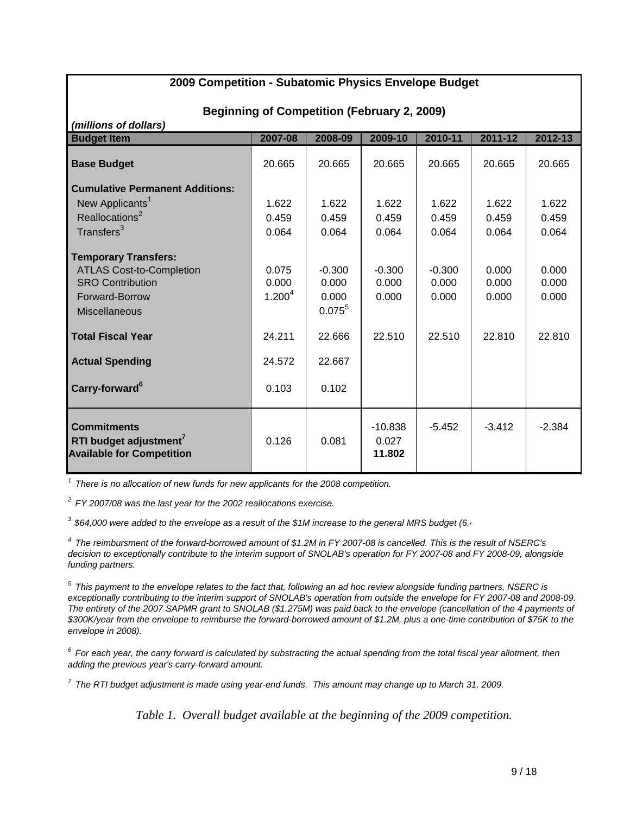| 2009 Competition - Subatomic Physics Envelope Budget                                                                                                                               |                                                          |                                                             |                                      |                                      |                                   |                                   |  |  |
|------------------------------------------------------------------------------------------------------------------------------------------------------------------------------------|----------------------------------------------------------|-------------------------------------------------------------|--------------------------------------|--------------------------------------|-----------------------------------|-----------------------------------|--|--|
| <b>Beginning of Competition (February 2, 2009)</b>                                                                                                                                 |                                                          |                                                             |                                      |                                      |                                   |                                   |  |  |
| (millions of dollars)                                                                                                                                                              |                                                          |                                                             |                                      |                                      |                                   |                                   |  |  |
| <b>Budget Item</b>                                                                                                                                                                 | 2007-08                                                  | 2008-09                                                     | 2009-10                              | 2010-11                              | $2011 - 12$                       | 2012-13                           |  |  |
| <b>Base Budget</b>                                                                                                                                                                 | 20.665                                                   | 20.665                                                      | 20.665                               | 20.665                               | 20.665                            | 20.665                            |  |  |
| <b>Cumulative Permanent Additions:</b>                                                                                                                                             |                                                          |                                                             |                                      |                                      |                                   |                                   |  |  |
| New Applicants <sup>1</sup>                                                                                                                                                        | 1.622                                                    | 1.622                                                       | 1.622                                | 1.622                                | 1.622                             | 1.622                             |  |  |
| Reallocations <sup>2</sup>                                                                                                                                                         | 0.459                                                    | 0.459                                                       | 0.459                                | 0.459                                | 0.459                             | 0.459                             |  |  |
| Transfers <sup>3</sup>                                                                                                                                                             | 0.064                                                    | 0.064                                                       | 0.064                                | 0.064                                | 0.064                             | 0.064                             |  |  |
| <b>Temporary Transfers:</b><br><b>ATLAS Cost-to-Completion</b><br><b>SRO Contribution</b><br>Forward-Borrow<br>Miscellaneous<br><b>Total Fiscal Year</b><br><b>Actual Spending</b> | 0.075<br>0.000<br>1.200 <sup>4</sup><br>24.211<br>24.572 | $-0.300$<br>0.000<br>0.000<br>$0.075^5$<br>22.666<br>22.667 | $-0.300$<br>0.000<br>0.000<br>22.510 | $-0.300$<br>0.000<br>0.000<br>22.510 | 0.000<br>0.000<br>0.000<br>22.810 | 0.000<br>0.000<br>0.000<br>22.810 |  |  |
| Carry-forward <sup>6</sup>                                                                                                                                                         | 0.103                                                    | 0.102                                                       |                                      |                                      |                                   |                                   |  |  |
| <b>Commitments</b><br>RTI budget adjustment <sup>7</sup><br><b>Available for Competition</b>                                                                                       | 0.126                                                    | 0.081                                                       | $-10.838$<br>0.027<br>11.802         | $-5.452$                             | $-3.412$                          | $-2.384$                          |  |  |

*1 There is no allocation of new funds for new applicants for the 2008 competition.*

*2 FY 2007/08 was the last year for the 2002 reallocations exercise.*

*3 \$64,000 were added to the envelope as a result of the \$1M increase to the general MRS budget (6.4*

*4 The reimbursment of the forward-borrowed amount of \$1.2M in FY 2007-08 is cancelled. This is the result of NSERC's decision to exceptionally contribute to the interim support of SNOLAB's operation for FY 2007-08 and FY 2008-09, alongside funding partners.*

*5 This payment to the envelope relates to the fact that, following an ad hoc review alongside funding partners, NSERC is exceptionally contributing to the interim support of SNOLAB's operation from outside the envelope for FY 2007-08 and 2008-09. The entirety of the 2007 SAPMR grant to SNOLAB (\$1.275M) was paid back to the envelope (cancellation of the 4 payments of \$300K/year from the envelope to reimburse the forward-borrowed amount of \$1.2M, plus a one-time contribution of \$75K to the envelope in 2008).*

*6 For each year, the carry forward is calculated by substracting the actual spending from the total fiscal year allotment, then adding the previous year's carry-forward amount.*

*7 The RTI budget adjustment is made using year-end funds. This amount may change up to March 31, 2009.*

*Table 1. Overall budget available at the beginning of the 2009 competition.*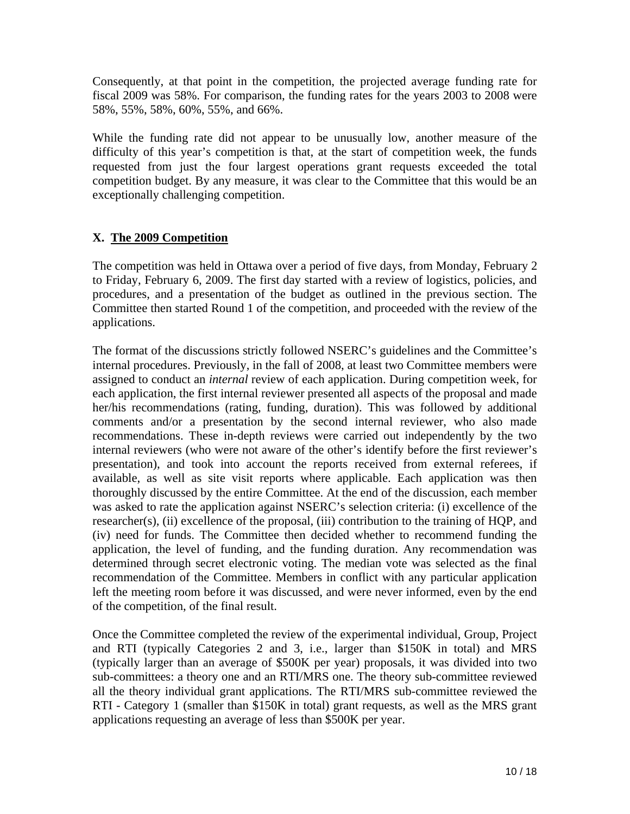Consequently, at that point in the competition, the projected average funding rate for fiscal 2009 was 58%. For comparison, the funding rates for the years 2003 to 2008 were 58%, 55%, 58%, 60%, 55%, and 66%.

While the funding rate did not appear to be unusually low, another measure of the difficulty of this year's competition is that, at the start of competition week, the funds requested from just the four largest operations grant requests exceeded the total competition budget. By any measure, it was clear to the Committee that this would be an exceptionally challenging competition.

## **X. The 2009 Competition**

The competition was held in Ottawa over a period of five days, from Monday, February 2 to Friday, February 6, 2009. The first day started with a review of logistics, policies, and procedures, and a presentation of the budget as outlined in the previous section. The Committee then started Round 1 of the competition, and proceeded with the review of the applications.

The format of the discussions strictly followed NSERC's guidelines and the Committee's internal procedures. Previously, in the fall of 2008, at least two Committee members were assigned to conduct an *internal* review of each application. During competition week, for each application, the first internal reviewer presented all aspects of the proposal and made her/his recommendations (rating, funding, duration). This was followed by additional comments and/or a presentation by the second internal reviewer, who also made recommendations. These in-depth reviews were carried out independently by the two internal reviewers (who were not aware of the other's identify before the first reviewer's presentation), and took into account the reports received from external referees, if available, as well as site visit reports where applicable. Each application was then thoroughly discussed by the entire Committee. At the end of the discussion, each member was asked to rate the application against NSERC's selection criteria: (i) excellence of the researcher(s), (ii) excellence of the proposal, (iii) contribution to the training of HQP, and (iv) need for funds. The Committee then decided whether to recommend funding the application, the level of funding, and the funding duration. Any recommendation was determined through secret electronic voting. The median vote was selected as the final recommendation of the Committee. Members in conflict with any particular application left the meeting room before it was discussed, and were never informed, even by the end of the competition, of the final result.

Once the Committee completed the review of the experimental individual, Group, Project and RTI (typically Categories 2 and 3, i.e., larger than \$150K in total) and MRS (typically larger than an average of \$500K per year) proposals, it was divided into two sub-committees: a theory one and an RTI/MRS one. The theory sub-committee reviewed all the theory individual grant applications. The RTI/MRS sub-committee reviewed the RTI - Category 1 (smaller than \$150K in total) grant requests, as well as the MRS grant applications requesting an average of less than \$500K per year.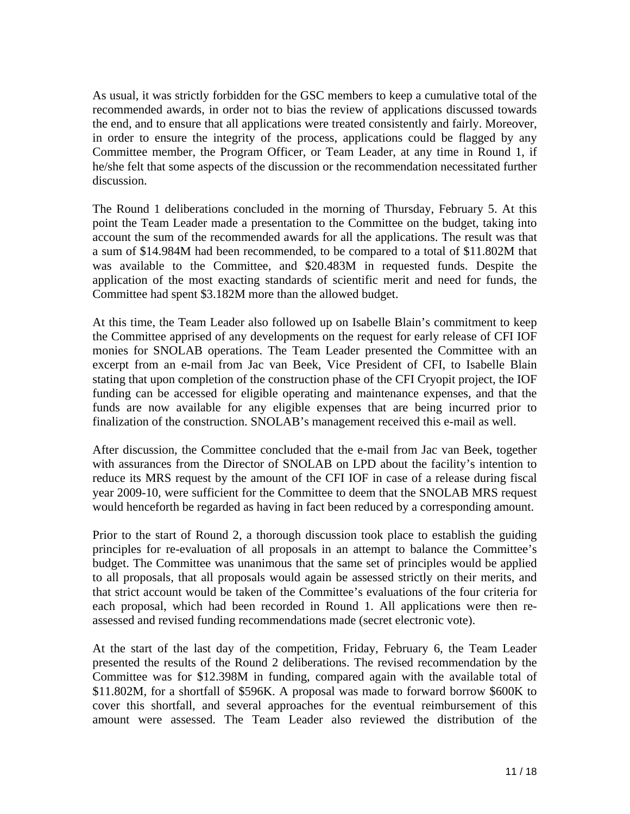As usual, it was strictly forbidden for the GSC members to keep a cumulative total of the recommended awards, in order not to bias the review of applications discussed towards the end, and to ensure that all applications were treated consistently and fairly. Moreover, in order to ensure the integrity of the process, applications could be flagged by any Committee member, the Program Officer, or Team Leader, at any time in Round 1, if he/she felt that some aspects of the discussion or the recommendation necessitated further discussion.

The Round 1 deliberations concluded in the morning of Thursday, February 5. At this point the Team Leader made a presentation to the Committee on the budget, taking into account the sum of the recommended awards for all the applications. The result was that a sum of \$14.984M had been recommended, to be compared to a total of \$11.802M that was available to the Committee, and \$20.483M in requested funds. Despite the application of the most exacting standards of scientific merit and need for funds, the Committee had spent \$3.182M more than the allowed budget.

At this time, the Team Leader also followed up on Isabelle Blain's commitment to keep the Committee apprised of any developments on the request for early release of CFI IOF monies for SNOLAB operations. The Team Leader presented the Committee with an excerpt from an e-mail from Jac van Beek, Vice President of CFI, to Isabelle Blain stating that upon completion of the construction phase of the CFI Cryopit project, the IOF funding can be accessed for eligible operating and maintenance expenses, and that the funds are now available for any eligible expenses that are being incurred prior to finalization of the construction. SNOLAB's management received this e-mail as well.

After discussion, the Committee concluded that the e-mail from Jac van Beek, together with assurances from the Director of SNOLAB on LPD about the facility's intention to reduce its MRS request by the amount of the CFI IOF in case of a release during fiscal year 2009-10, were sufficient for the Committee to deem that the SNOLAB MRS request would henceforth be regarded as having in fact been reduced by a corresponding amount.

Prior to the start of Round 2, a thorough discussion took place to establish the guiding principles for re-evaluation of all proposals in an attempt to balance the Committee's budget. The Committee was unanimous that the same set of principles would be applied to all proposals, that all proposals would again be assessed strictly on their merits, and that strict account would be taken of the Committee's evaluations of the four criteria for each proposal, which had been recorded in Round 1. All applications were then reassessed and revised funding recommendations made (secret electronic vote).

At the start of the last day of the competition, Friday, February 6, the Team Leader presented the results of the Round 2 deliberations. The revised recommendation by the Committee was for \$12.398M in funding, compared again with the available total of \$11.802M, for a shortfall of \$596K. A proposal was made to forward borrow \$600K to cover this shortfall, and several approaches for the eventual reimbursement of this amount were assessed. The Team Leader also reviewed the distribution of the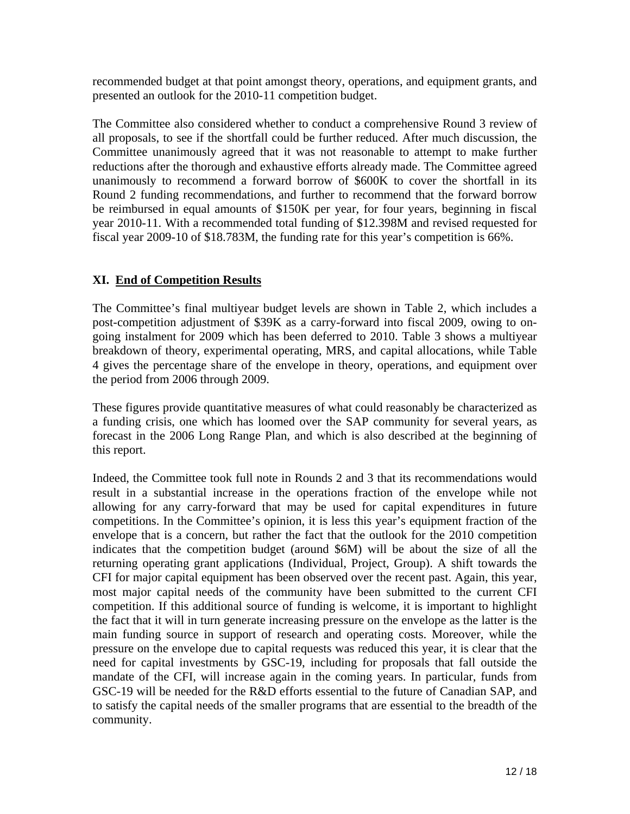recommended budget at that point amongst theory, operations, and equipment grants, and presented an outlook for the 2010-11 competition budget.

The Committee also considered whether to conduct a comprehensive Round 3 review of all proposals, to see if the shortfall could be further reduced. After much discussion, the Committee unanimously agreed that it was not reasonable to attempt to make further reductions after the thorough and exhaustive efforts already made. The Committee agreed unanimously to recommend a forward borrow of \$600K to cover the shortfall in its Round 2 funding recommendations, and further to recommend that the forward borrow be reimbursed in equal amounts of \$150K per year, for four years, beginning in fiscal year 2010-11. With a recommended total funding of \$12.398M and revised requested for fiscal year 2009-10 of \$18.783M, the funding rate for this year's competition is 66%.

## **XI. End of Competition Results**

The Committee's final multiyear budget levels are shown in Table 2, which includes a post-competition adjustment of \$39K as a carry-forward into fiscal 2009, owing to ongoing instalment for 2009 which has been deferred to 2010. Table 3 shows a multiyear breakdown of theory, experimental operating, MRS, and capital allocations, while Table 4 gives the percentage share of the envelope in theory, operations, and equipment over the period from 2006 through 2009.

These figures provide quantitative measures of what could reasonably be characterized as a funding crisis, one which has loomed over the SAP community for several years, as forecast in the 2006 Long Range Plan, and which is also described at the beginning of this report.

Indeed, the Committee took full note in Rounds 2 and 3 that its recommendations would result in a substantial increase in the operations fraction of the envelope while not allowing for any carry-forward that may be used for capital expenditures in future competitions. In the Committee's opinion, it is less this year's equipment fraction of the envelope that is a concern, but rather the fact that the outlook for the 2010 competition indicates that the competition budget (around \$6M) will be about the size of all the returning operating grant applications (Individual, Project, Group). A shift towards the CFI for major capital equipment has been observed over the recent past. Again, this year, most major capital needs of the community have been submitted to the current CFI competition. If this additional source of funding is welcome, it is important to highlight the fact that it will in turn generate increasing pressure on the envelope as the latter is the main funding source in support of research and operating costs. Moreover, while the pressure on the envelope due to capital requests was reduced this year, it is clear that the need for capital investments by GSC-19, including for proposals that fall outside the mandate of the CFI, will increase again in the coming years. In particular, funds from GSC-19 will be needed for the R&D efforts essential to the future of Canadian SAP, and to satisfy the capital needs of the smaller programs that are essential to the breadth of the community.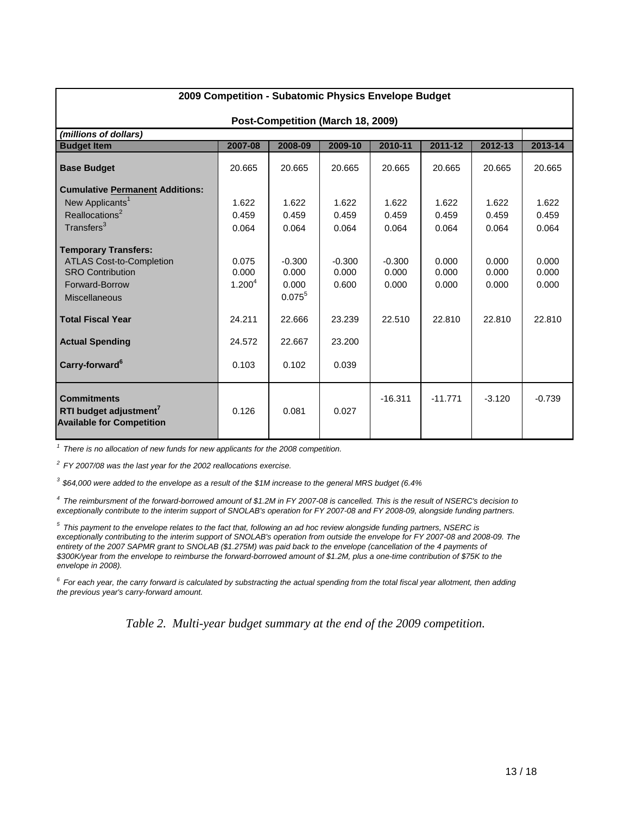| 2009 Competition - Subatomic Physics Envelope Budget                                                                                                                                                                    |                                                                   |                                                                        |                                                         |                                      |                                   |                                   |                                   |
|-------------------------------------------------------------------------------------------------------------------------------------------------------------------------------------------------------------------------|-------------------------------------------------------------------|------------------------------------------------------------------------|---------------------------------------------------------|--------------------------------------|-----------------------------------|-----------------------------------|-----------------------------------|
| Post-Competition (March 18, 2009)                                                                                                                                                                                       |                                                                   |                                                                        |                                                         |                                      |                                   |                                   |                                   |
| (millions of dollars)                                                                                                                                                                                                   |                                                                   |                                                                        |                                                         |                                      |                                   |                                   |                                   |
| <b>Budget Item</b>                                                                                                                                                                                                      | 2007-08                                                           | 2008-09                                                                | 2009-10                                                 | 2010-11                              | $2011 - 12$                       | 2012-13                           | 2013-14                           |
| <b>Base Budget</b>                                                                                                                                                                                                      | 20.665                                                            | 20.665                                                                 | 20.665                                                  | 20.665                               | 20.665                            | 20.665                            | 20.665                            |
| <b>Cumulative Permanent Additions:</b>                                                                                                                                                                                  |                                                                   |                                                                        |                                                         |                                      |                                   |                                   |                                   |
| New Applicants <sup>1</sup>                                                                                                                                                                                             | 1.622                                                             | 1.622                                                                  | 1.622                                                   | 1.622                                | 1.622                             | 1.622                             | 1.622                             |
| Reallocations <sup>2</sup>                                                                                                                                                                                              | 0.459                                                             | 0.459                                                                  | 0.459                                                   | 0.459                                | 0.459                             | 0.459                             | 0.459                             |
| Transfers <sup>3</sup>                                                                                                                                                                                                  | 0.064                                                             | 0.064                                                                  | 0.064                                                   | 0.064                                | 0.064                             | 0.064                             | 0.064                             |
| <b>Temporary Transfers:</b><br><b>ATLAS Cost-to-Completion</b><br><b>SRO Contribution</b><br>Forward-Borrow<br><b>Miscellaneous</b><br><b>Total Fiscal Year</b><br><b>Actual Spending</b><br>Carry-forward <sup>6</sup> | 0.075<br>0.000<br>1.200 <sup>4</sup><br>24.211<br>24.572<br>0.103 | $-0.300$<br>0.000<br>0.000<br>$0.075^{5}$<br>22.666<br>22.667<br>0.102 | $-0.300$<br>0.000<br>0.600<br>23.239<br>23.200<br>0.039 | $-0.300$<br>0.000<br>0.000<br>22.510 | 0.000<br>0.000<br>0.000<br>22.810 | 0.000<br>0.000<br>0.000<br>22.810 | 0.000<br>0.000<br>0.000<br>22,810 |
| <b>Commitments</b><br>RTI budget adjustment <sup>7</sup><br><b>Available for Competition</b>                                                                                                                            | 0.126                                                             | 0.081                                                                  | 0.027                                                   | $-16.311$                            | $-11.771$                         | $-3.120$                          | $-0.739$                          |

*1 There is no allocation of new funds for new applicants for the 2008 competition.*

*2 FY 2007/08 was the last year for the 2002 reallocations exercise.*

*3 \$64,000 were added to the envelope as a result of the \$1M increase to the general MRS budget (6.4%*

*4 The reimbursment of the forward-borrowed amount of \$1.2M in FY 2007-08 is cancelled. This is the result of NSERC's decision to exceptionally contribute to the interim support of SNOLAB's operation for FY 2007-08 and FY 2008-09, alongside funding partners.*

*5 This payment to the envelope relates to the fact that, following an ad hoc review alongside funding partners, NSERC is exceptionally contributing to the interim support of SNOLAB's operation from outside the envelope for FY 2007-08 and 2008-09. The entirety of the 2007 SAPMR grant to SNOLAB (\$1.275M) was paid back to the envelope (cancellation of the 4 payments of \$300K/year from the envelope to reimburse the forward-borrowed amount of \$1.2M, plus a one-time contribution of \$75K to the envelope in 2008).*

*6 For each year, the carry forward is calculated by substracting the actual spending from the total fiscal year allotment, then adding the previous year's carry-forward amount.*

*Table 2. Multi-year budget summary at the end of the 2009 competition.*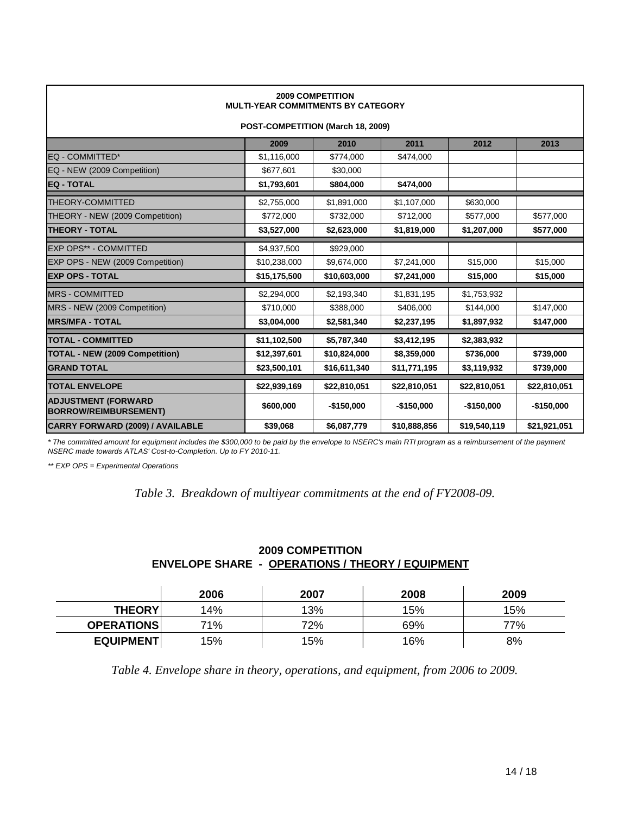| <b>2009 COMPETITION</b><br><b>MULTI-YEAR COMMITMENTS BY CATEGORY</b> |              |              |              |              |              |  |  |
|----------------------------------------------------------------------|--------------|--------------|--------------|--------------|--------------|--|--|
| POST-COMPETITION (March 18, 2009)                                    |              |              |              |              |              |  |  |
|                                                                      | 2009         | 2010         | 2011         | 2012         | 2013         |  |  |
| EQ - COMMITTED*                                                      | \$1,116,000  | \$774,000    | \$474,000    |              |              |  |  |
| EQ - NEW (2009 Competition)                                          | \$677,601    | \$30,000     |              |              |              |  |  |
| <b>EQ - TOTAL</b>                                                    | \$1,793,601  | \$804,000    | \$474,000    |              |              |  |  |
| <b>THEORY-COMMITTED</b>                                              | \$2,755,000  | \$1,891,000  | \$1,107,000  | \$630,000    |              |  |  |
| THEORY - NEW (2009 Competition)                                      | \$772,000    | \$732,000    | \$712,000    | \$577,000    | \$577,000    |  |  |
| <b>THEORY - TOTAL</b>                                                | \$3,527,000  | \$2,623,000  | \$1,819,000  | \$1,207,000  | \$577,000    |  |  |
| <b>EXP OPS** - COMMITTED</b>                                         | \$4,937,500  | \$929,000    |              |              |              |  |  |
| EXP OPS - NEW (2009 Competition)                                     | \$10,238,000 | \$9,674,000  | \$7,241,000  | \$15,000     | \$15,000     |  |  |
| <b>EXP OPS - TOTAL</b>                                               | \$15,175,500 | \$10,603,000 | \$7,241,000  | \$15,000     | \$15,000     |  |  |
| <b>MRS - COMMITTED</b>                                               | \$2,294,000  | \$2,193,340  | \$1,831,195  | \$1,753,932  |              |  |  |
| MRS - NEW (2009 Competition)                                         | \$710,000    | \$388,000    | \$406,000    | \$144.000    | \$147,000    |  |  |
| <b>MRS/MFA - TOTAL</b>                                               | \$3,004,000  | \$2,581,340  | \$2,237,195  | \$1,897,932  | \$147,000    |  |  |
| <b>TOTAL - COMMITTED</b>                                             | \$11,102,500 | \$5,787,340  | \$3,412,195  | \$2,383,932  |              |  |  |
| <b>TOTAL - NEW (2009 Competition)</b>                                | \$12,397,601 | \$10,824,000 | \$8,359,000  | \$736,000    | \$739,000    |  |  |
| <b>GRAND TOTAL</b>                                                   | \$23,500,101 | \$16,611,340 | \$11,771,195 | \$3,119,932  | \$739,000    |  |  |
| <b>TOTAL ENVELOPE</b>                                                | \$22,939,169 | \$22,810,051 | \$22,810,051 | \$22,810,051 | \$22,810,051 |  |  |
| <b>ADJUSTMENT (FORWARD</b><br><b>BORROW/REIMBURSEMENT)</b>           | \$600,000    | $-$150,000$  | $-$150,000$  | $-$150,000$  | $-$150,000$  |  |  |
| <b>CARRY FORWARD (2009) / AVAILABLE</b>                              | \$39,068     | \$6,087,779  | \$10,888,856 | \$19,540,119 | \$21,921,051 |  |  |

*\* The committed amount for equipment includes the \$300,000 to be paid by the envelope to NSERC's main RTI program as a reimbursement of the payment NSERC made towards ATLAS' Cost-to-Completion. Up to FY 2010-11.*

*\*\* EXP OPS = Experimental Operations*

*Table 3. Breakdown of multiyear commitments at the end of FY2008-09.*

#### **2009 COMPETITION ENVELOPE SHARE - OPERATIONS / THEORY / EQUIPMENT**

|                   | 2006 | 2007 | 2008 | 2009 |
|-------------------|------|------|------|------|
| <b>THEORY</b>     | 14%  | 13%  | 15%  | 15%  |
| <b>OPERATIONS</b> | 71%  | 72%  | 69%  | 77%  |
| <b>EQUIPMENT</b>  | 15%  | 15%  | 16%  | 8%   |

*Table 4. Envelope share in theory, operations, and equipment, from 2006 to 2009.*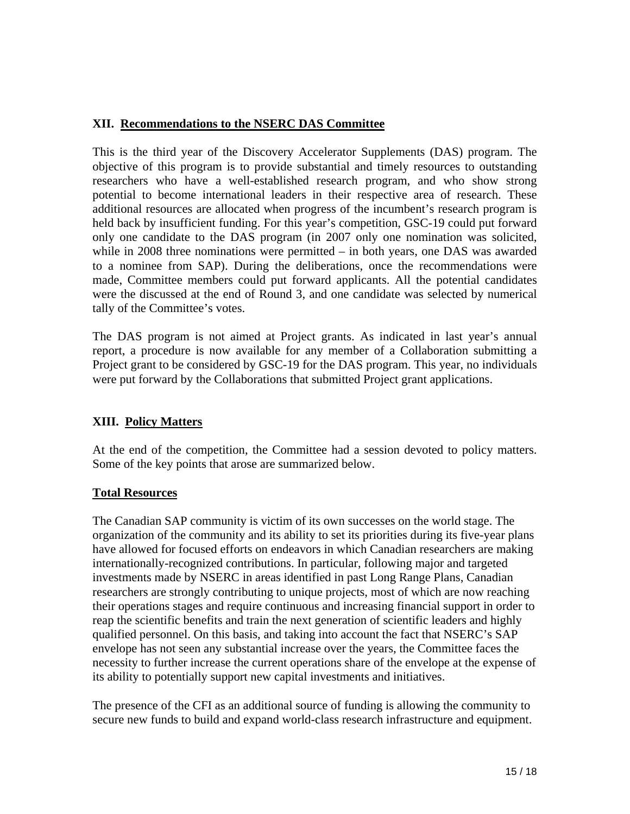## **XII. Recommendations to the NSERC DAS Committee**

This is the third year of the Discovery Accelerator Supplements (DAS) program. The objective of this program is to provide substantial and timely resources to outstanding researchers who have a well-established research program, and who show strong potential to become international leaders in their respective area of research. These additional resources are allocated when progress of the incumbent's research program is held back by insufficient funding. For this year's competition, GSC-19 could put forward only one candidate to the DAS program (in 2007 only one nomination was solicited, while in 2008 three nominations were permitted – in both years, one DAS was awarded to a nominee from SAP). During the deliberations, once the recommendations were made, Committee members could put forward applicants. All the potential candidates were the discussed at the end of Round 3, and one candidate was selected by numerical tally of the Committee's votes.

The DAS program is not aimed at Project grants. As indicated in last year's annual report, a procedure is now available for any member of a Collaboration submitting a Project grant to be considered by GSC-19 for the DAS program. This year, no individuals were put forward by the Collaborations that submitted Project grant applications.

## **XIII. Policy Matters**

At the end of the competition, the Committee had a session devoted to policy matters. Some of the key points that arose are summarized below.

## **Total Resources**

The Canadian SAP community is victim of its own successes on the world stage. The organization of the community and its ability to set its priorities during its five-year plans have allowed for focused efforts on endeavors in which Canadian researchers are making internationally-recognized contributions. In particular, following major and targeted investments made by NSERC in areas identified in past Long Range Plans, Canadian researchers are strongly contributing to unique projects, most of which are now reaching their operations stages and require continuous and increasing financial support in order to reap the scientific benefits and train the next generation of scientific leaders and highly qualified personnel. On this basis, and taking into account the fact that NSERC's SAP envelope has not seen any substantial increase over the years, the Committee faces the necessity to further increase the current operations share of the envelope at the expense of its ability to potentially support new capital investments and initiatives.

The presence of the CFI as an additional source of funding is allowing the community to secure new funds to build and expand world-class research infrastructure and equipment.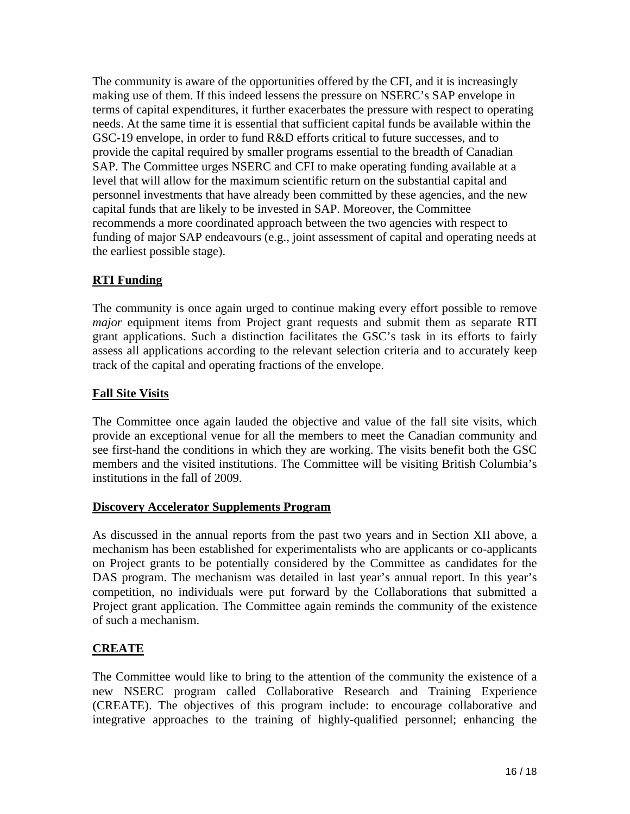The community is aware of the opportunities offered by the CFI, and it is increasingly making use of them. If this indeed lessens the pressure on NSERC's SAP envelope in terms of capital expenditures, it further exacerbates the pressure with respect to operating needs. At the same time it is essential that sufficient capital funds be available within the GSC-19 envelope, in order to fund R&D efforts critical to future successes, and to provide the capital required by smaller programs essential to the breadth of Canadian SAP. The Committee urges NSERC and CFI to make operating funding available at a level that will allow for the maximum scientific return on the substantial capital and personnel investments that have already been committed by these agencies, and the new capital funds that are likely to be invested in SAP. Moreover, the Committee recommends a more coordinated approach between the two agencies with respect to funding of major SAP endeavours (e.g., joint assessment of capital and operating needs at the earliest possible stage).

## **RTI Funding**

The community is once again urged to continue making every effort possible to remove *major* equipment items from Project grant requests and submit them as separate RTI grant applications. Such a distinction facilitates the GSC's task in its efforts to fairly assess all applications according to the relevant selection criteria and to accurately keep track of the capital and operating fractions of the envelope.

## **Fall Site Visits**

The Committee once again lauded the objective and value of the fall site visits, which provide an exceptional venue for all the members to meet the Canadian community and see first-hand the conditions in which they are working. The visits benefit both the GSC members and the visited institutions. The Committee will be visiting British Columbia's institutions in the fall of 2009.

## **Discovery Accelerator Supplements Program**

As discussed in the annual reports from the past two years and in Section XII above, a mechanism has been established for experimentalists who are applicants or co-applicants on Project grants to be potentially considered by the Committee as candidates for the DAS program. The mechanism was detailed in last year's annual report. In this year's competition, no individuals were put forward by the Collaborations that submitted a Project grant application. The Committee again reminds the community of the existence of such a mechanism.

## **CREATE**

The Committee would like to bring to the attention of the community the existence of a new NSERC program called Collaborative Research and Training Experience (CREATE). The objectives of this program include: to encourage collaborative and integrative approaches to the training of highly-qualified personnel; enhancing the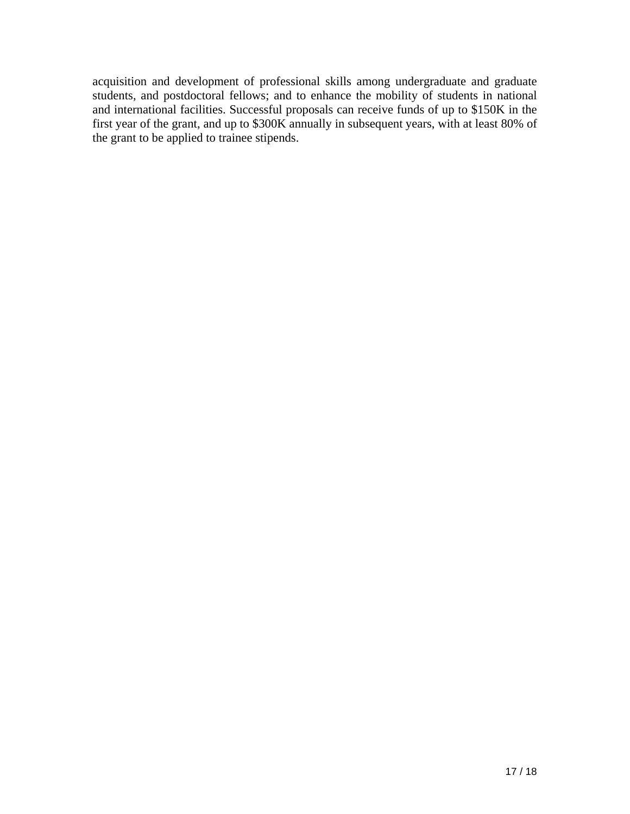acquisition and development of professional skills among undergraduate and graduate students, and postdoctoral fellows; and to enhance the mobility of students in national and international facilities. Successful proposals can receive funds of up to \$150K in the first year of the grant, and up to \$300K annually in subsequent years, with at least 80% of the grant to be applied to trainee stipends.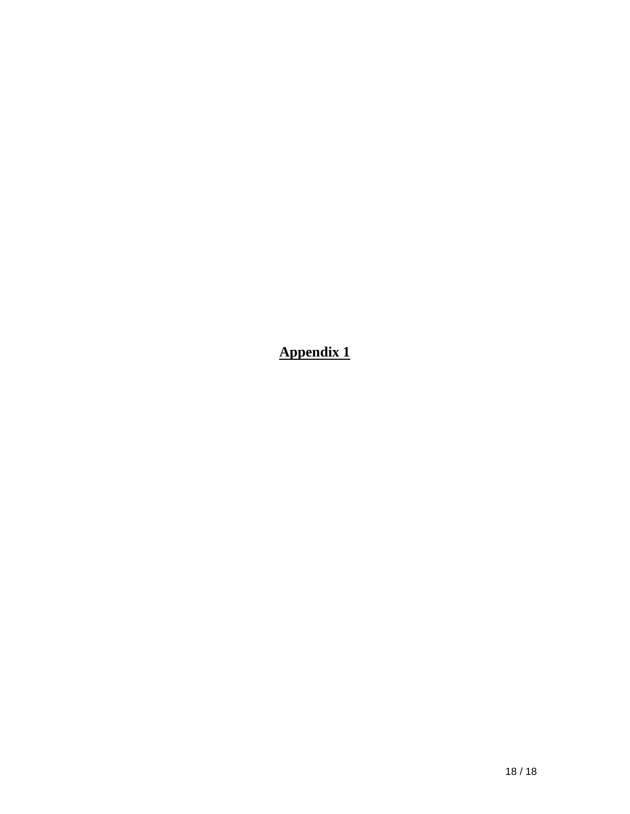**Appendix 1**